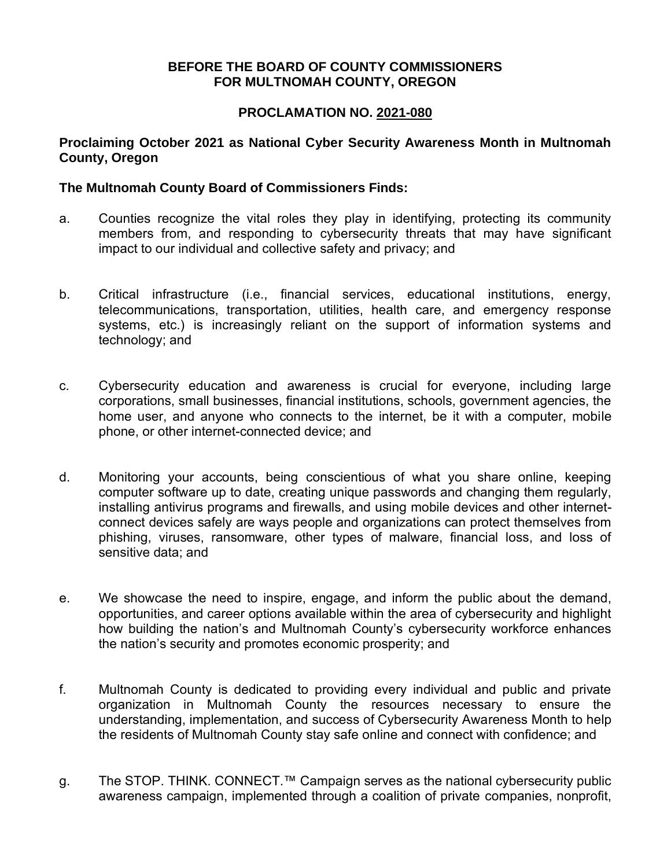## **BEFORE THE BOARD OF COUNTY COMMISSIONERS FOR MULTNOMAH COUNTY, OREGON**

## **PROCLAMATION NO. 2021-080**

### **Proclaiming October 2021 as National Cyber Security Awareness Month in Multnomah County, Oregon**

### **The Multnomah County Board of Commissioners Finds:**

- a. Counties recognize the vital roles they play in identifying, protecting its community members from, and responding to cybersecurity threats that may have significant impact to our individual and collective safety and privacy; and
- b. Critical infrastructure (i.e., financial services, educational institutions, energy, telecommunications, transportation, utilities, health care, and emergency response systems, etc.) is increasingly reliant on the support of information systems and technology; and
- c. Cybersecurity education and awareness is crucial for everyone, including large corporations, small businesses, financial institutions, schools, government agencies, the home user, and anyone who connects to the internet, be it with a computer, mobile phone, or other internet-connected device; and
- d. Monitoring your accounts, being conscientious of what you share online, keeping computer software up to date, creating unique passwords and changing them regularly, installing antivirus programs and firewalls, and using mobile devices and other internetconnect devices safely are ways people and organizations can protect themselves from phishing, viruses, ransomware, other types of malware, financial loss, and loss of sensitive data; and
- e. We showcase the need to inspire, engage, and inform the public about the demand, opportunities, and career options available within the area of cybersecurity and highlight how building the nation's and Multnomah County's cybersecurity workforce enhances the nation's security and promotes economic prosperity; and
- f. Multnomah County is dedicated to providing every individual and public and private organization in Multnomah County the resources necessary to ensure the understanding, implementation, and success of Cybersecurity Awareness Month to help the residents of Multnomah County stay safe online and connect with confidence; and
- g. The STOP. THINK. CONNECT.™ Campaign serves as the national cybersecurity public awareness campaign, implemented through a coalition of private companies, nonprofit,